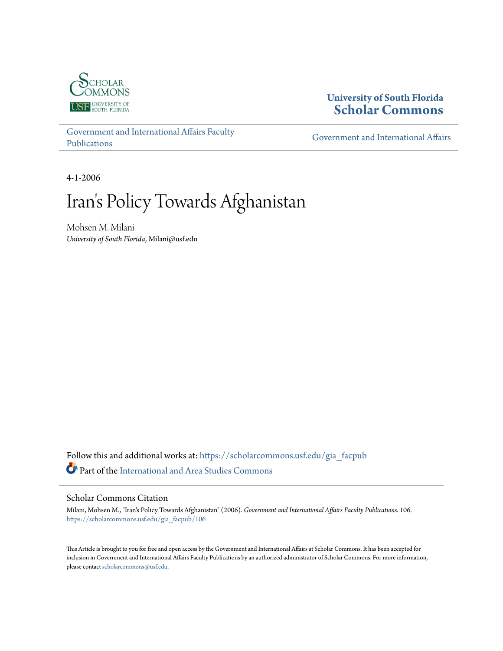

# **University of South Florida [Scholar Commons](https://scholarcommons.usf.edu?utm_source=scholarcommons.usf.edu%2Fgia_facpub%2F106&utm_medium=PDF&utm_campaign=PDFCoverPages)**

[Government and International Affairs Faculty](https://scholarcommons.usf.edu/gia_facpub?utm_source=scholarcommons.usf.edu%2Fgia_facpub%2F106&utm_medium=PDF&utm_campaign=PDFCoverPages) [Publications](https://scholarcommons.usf.edu/gia_facpub?utm_source=scholarcommons.usf.edu%2Fgia_facpub%2F106&utm_medium=PDF&utm_campaign=PDFCoverPages)

[Government and International Affairs](https://scholarcommons.usf.edu/gia?utm_source=scholarcommons.usf.edu%2Fgia_facpub%2F106&utm_medium=PDF&utm_campaign=PDFCoverPages)

4-1-2006

# Iran 's Policy Towards Afghanistan

Mohsen M. Milani *University of South Florida*, Milani@usf.edu

Follow this and additional works at: [https://scholarcommons.usf.edu/gia\\_facpub](https://scholarcommons.usf.edu/gia_facpub?utm_source=scholarcommons.usf.edu%2Fgia_facpub%2F106&utm_medium=PDF&utm_campaign=PDFCoverPages) Part of the [International and Area Studies Commons](http://network.bepress.com/hgg/discipline/360?utm_source=scholarcommons.usf.edu%2Fgia_facpub%2F106&utm_medium=PDF&utm_campaign=PDFCoverPages)

#### Scholar Commons Citation

Milani, Mohsen M., "Iran's Policy Towards Afghanistan" (2006). *Government and International Affairs Faculty Publications*. 106. [https://scholarcommons.usf.edu/gia\\_facpub/106](https://scholarcommons.usf.edu/gia_facpub/106?utm_source=scholarcommons.usf.edu%2Fgia_facpub%2F106&utm_medium=PDF&utm_campaign=PDFCoverPages)

This Article is brought to you for free and open access by the Government and International Affairs at Scholar Commons. It has been accepted for inclusion in Government and International Affairs Faculty Publications by an authorized administrator of Scholar Commons. For more information, please contact [scholarcommons@usf.edu.](mailto:scholarcommons@usf.edu)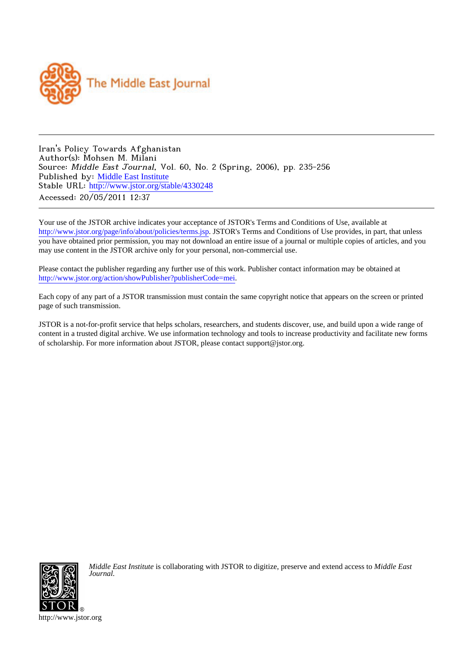

Iran's Policy Towards Afghanistan Author(s): Mohsen M. Milani Source: Middle East Journal, Vol. 60, No. 2 (Spring, 2006), pp. 235-256 Published by: [Middle East Institute](http://www.jstor.org/action/showPublisher?publisherCode=mei) Stable URL: [http://www.jstor.org/stable/4330248](http://www.jstor.org/stable/4330248?origin=JSTOR-pdf) Accessed: 20/05/2011 12:37

Your use of the JSTOR archive indicates your acceptance of JSTOR's Terms and Conditions of Use, available at <http://www.jstor.org/page/info/about/policies/terms.jsp>. JSTOR's Terms and Conditions of Use provides, in part, that unless you have obtained prior permission, you may not download an entire issue of a journal or multiple copies of articles, and you may use content in the JSTOR archive only for your personal, non-commercial use.

Please contact the publisher regarding any further use of this work. Publisher contact information may be obtained at [http://www.jstor.org/action/showPublisher?publisherCode=mei.](http://www.jstor.org/action/showPublisher?publisherCode=mei) .

Each copy of any part of a JSTOR transmission must contain the same copyright notice that appears on the screen or printed page of such transmission.

JSTOR is a not-for-profit service that helps scholars, researchers, and students discover, use, and build upon a wide range of content in a trusted digital archive. We use information technology and tools to increase productivity and facilitate new forms of scholarship. For more information about JSTOR, please contact support@jstor.org.



*Middle East Institute* is collaborating with JSTOR to digitize, preserve and extend access to *Middle East Journal.*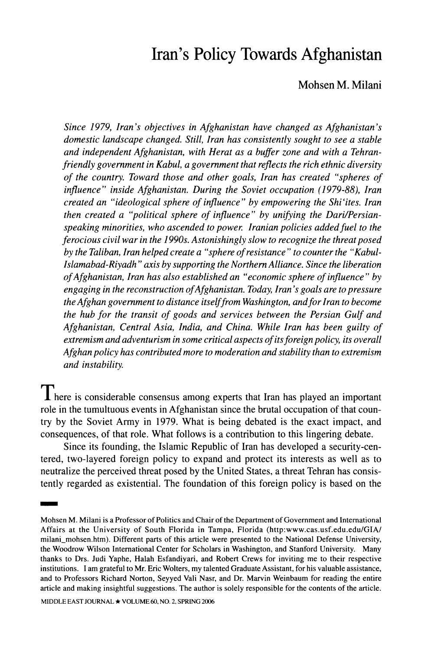# **Iran's Policy Towards Afghanistan**

**Mohsen M. Milani** 

**Since 1979, Iran's objectives in Afghanistan have changed as Afghanistan's domestic landscape changed. Still, Iran has consistently sought to see a stable and independent Afghanistan, with Herat as a buffer zone and with a Tehran**friendly government in Kabul, a government that reflects the rich ethnic diversity **of the country. Toward those and other goals, Iran has created "spheres of influence" inside Afghanistan. During the Soviet occupation (1979-88), Iran created an "ideological sphere of influence" by empowering the Shi'ites. Iran then created a "political sphere of influence" by unifying the Dari/Persian**speaking minorities, who ascended to power. Iranian policies added fuel to the **ferocious civil war in the 1990s. Astonishingly slow to recognize the threat posed by the Taliban, Iran helped create a "sphere of resistance " to counter the "Kabul-Islamabad-Riyadh " axis by supporting the Northern Alliance. Since the liberation of Afghanistan, Iran has also established an "economic sphere of influence " by engaging in the reconstruction ofAfghanistan. Today, Iran's goals are to pressure the Afghan government to distance itselffrom Washington, andfor Iran to become the hub for the transit of goods and services between the Persian Gulf and Afghanistan, Central Asia, India, and China. While Iran has been guilty of**  extremism and adventurism in some critical aspects of its foreign policy, its overall **Afghan policy has contributed more to moderation and stability than to extremism and instability.** 

**<sup>T</sup>here is considerable consensus among experts that Iran has played an important role in the tumultuous events in Afghanistan since the brutal occupation of that country by the Soviet Army in 1979. What is being debated is the exact impact, and consequences, of that role. What follows is a contribution to this lingering debate.** 

**Since its founding, the Islamic Republic of Iran has developed a security-centered, two-layered foreign policy to expand and protect its interests as well as to neutralize the perceived threat posed by the United States, a threat Tehran has consistently regarded as existential. The foundation of this foreign policy is based on the** 

**MIDDLE EAST JOURNAL \* VOLUME 60, NO. 2, SPRING 2006** 

**Mohsen M. Milani is a Professor of Politics and Chair of the Department of Government and International Affairs at the University of South Florida in Tampa, Florida (http:www.cas.usf.edu.edu/GIA/ milani\_mohsen.htm). Different parts of this article were presented to the National Defense University, the Woodrow Wilson International Center for Scholars in Washington, and Stanford University. Many thanks to Drs. Judi Yaphe, Halah Esfandiyari, and Robert Crews for inviting me to their respective institutions. I am grateful to Mr. Eric Wolters, my talented Graduate Assistant, for his valuable assistance, and to Professors Richard Norton, Seyyed Vali Nasr, and Dr. Marvin Weinbaum for reading the entire article and making insightful suggestions. The author is solely responsible for the contents of the article.**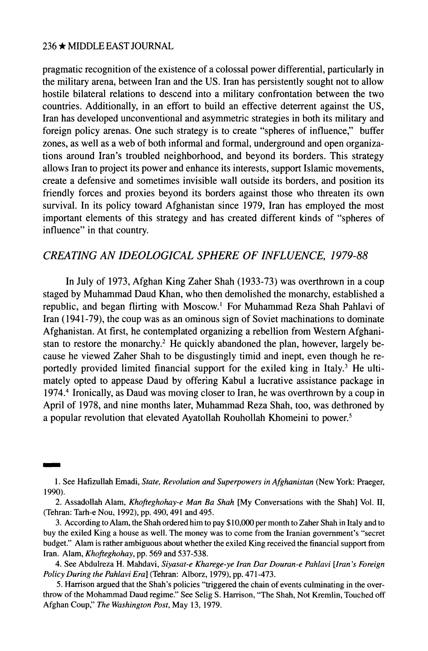**pragmatic recognition of the existence of a colossal power differential, particularly in the military arena, between Iran and the US. Iran has persistently sought not to allow hostile bilateral relations to descend into a military confrontation between the two countries. Additionally, in an effort to build an effective deterrent against the US, Iran has developed unconventional and asymmetric strategies in both its military and foreign policy arenas. One such strategy is to create "spheres of influence," buffer zones, as well as a web of both informal and formal, underground and open organizations around Iran's troubled neighborhood, and beyond its borders. This strategy allows Iran to project its power and enhance its interests, support Islamic movements, create a defensive and sometimes invisible wall outside its borders, and position its friendly forces and proxies beyond its borders against those who threaten its own survival. In its policy toward Afghanistan since 1979, Iran has employed the most important elements of this strategy and has created different kinds of "spheres of influence" in that country.** 

#### **CREATING AN IDEOLOGICAL SPHERE OF INFLUENCE, 1979-88**

**In July of 1973, Afghan King Zaher Shah (1933-73) was overthrown in a coup staged by Muhammad Daud Khan, who then demolished the monarchy, established a republic, and began flirting with Moscow.' For Muhammad Reza Shah Pahlavi of Iran (1941-79), the coup was as an ominous sign of Soviet machinations to dominate Afghanistan. At first, he contemplated organizing a rebellion from Western Afghanistan to restore the monarchy.2 He quickly abandoned the plan, however, largely because he viewed Zaher Shah to be disgustingly timid and inept, even though he reportedly provided limited financial support for the exiled king in Italy.3 He ultimately opted to appease Daud by offering Kabul a lucrative assistance package in 1974.4 Ironically, as Daud was moving closer to Iran, he was overthrown by a coup in April of 1978, and nine months later, Muhammad Reza Shah, too, was dethroned by a popular revolution that elevated Ayatollah Rouhollah Khomeini to power.'** 

**<sup>1.</sup> See Hafizullah Emadi, State, Revolution and Superpowers in Afghanistan (New York: Praeger, 1990).** 

**<sup>2.</sup> Assadollah Alam, Khofteghohay-e Man Ba Shah [My Conversations with the Shah] Vol. II, (Tehran: Tarh-e Nou, 1992), pp. 490, 491 and 495.** 

**<sup>3.</sup> According toAlam, the Shah ordered him to pay \$10,000 per month to Zaher Shah in Italy and to buy the exiled King a house as well. The money was to come from the Iranian government's "secret budget." Alam is rather ambiguous about whether the exiled King received the financial support from Iran. Alam, Khofteghohay, pp. 569 and 537-538.** 

**<sup>4.</sup> See Abdulreza H. Mahdavi, Siyasat-e Kharege-ye Iran Dar Douran-e Pahlavi [Iran's Foreign Policy During the Pahlavi Era] (Tehran: Alborz, 1979), pp. 471-473.** 

**<sup>5.</sup> Harrison argued that the Shah's policies "triggered the chain of events culminating in the overthrow of the Mohammad Daud regime." See Selig S. Harrison, "The Shah, Not Kremlin, Touched off Afghan Coup," The Washington Post, May 13, 1979.**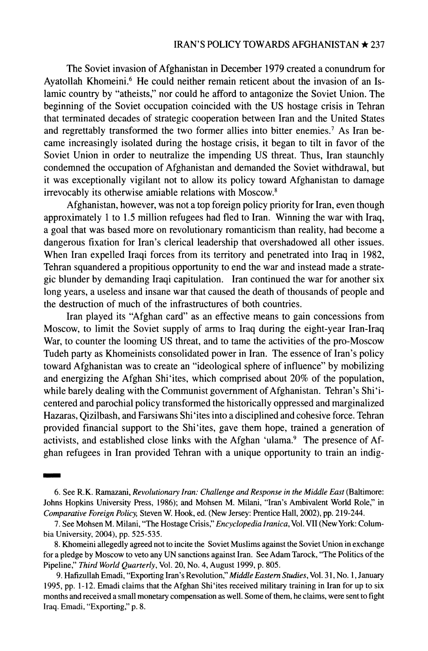**The Soviet invasion of Afghanistan in December 1979 created a conundrum for Ayatollah Khomeini.6 He could neither remain reticent about the invasion of an Islamic country by "atheists," nor could he afford to antagonize the Soviet Union. The beginning of the Soviet occupation coincided with the US hostage crisis in Tehran that terminated decades of strategic cooperation between Iran and the United States and regrettably transformed the two former allies into bitter enemies.7 As Iran became increasingly isolated during the hostage crisis, it began to tilt in favor of the Soviet Union in order to neutralize the impending US threat. Thus, Iran staunchly condemned the occupation of Afghanistan and demanded the Soviet withdrawal, but it was exceptionally vigilant not to allow its policy toward Afghanistan to damage irrevocably its otherwise amiable relations with Moscow.8** 

**Afghanistan, however, was not a top foreign policy priority for Iran, even though approximately 1 to 1.5 million refugees had fled to Iran. Winning the war with Iraq, a goal that was based more on revolutionary romanticism than reality, had become a dangerous fixation for Iran's clerical leadership that overshadowed all other issues. When Iran expelled Iraqi forces from its territory and penetrated into Iraq in 1982, Tehran squandered a propitious opportunity to end the war and instead made a strategic blunder by demanding Iraqi capitulation. Iran continued the war for another six long years, a useless and insane war that caused the death of thousands of people and the destruction of much of the infrastructures of both countries.** 

**Iran played its "Afghan card" as an effective means to gain concessions from Moscow, to limit the Soviet supply of arms to Iraq during the eight-year Iran-Iraq War, to counter the looming US threat, and to tame the activities of the pro-Moscow Tudeh party as Khomeinists consolidated power in Iran. The essence of Iran's policy toward Afghanistan was to create an "ideological sphere of influence" by mobilizing and energizing the Afghan Shi'ites, which comprised about 20% of the population, while barely dealing with the Communist government of Afghanistan. Tehran's Shi'icentered and parochial policy transformed the historically oppressed and marginalized Hazaras, Qizilbash, and Farsiwans Shi'ites into a disciplined and cohesive force. Tehran provided financial support to the Shi'ites, gave them hope, trained a generation of activists, and established close links with the Afghan 'ulama.9 The presence of Afghan refugees in Iran provided Tehran with a unique opportunity to train an indig-**

**<sup>6.</sup> See R.K. Ramazani, Revolutionary Iran: Challenge and Response in the Middle East (Baltimore: Johns Hopkins University Press, 1986); and Mohsen M. Milani, "Iran's Ambivalent World Role'" in Comparative Foreign Policy, Steven W. Hook, ed. (New Jersey: Prentice Hall, 2002), pp. 219-244.** 

**<sup>7.</sup> See Mohsen M. Milani, "The Hostage Crisis," Encyclopedia Iranica, Vol. VII (New York: Columbia University, 2004), pp. 525-535.** 

**<sup>8.</sup> Khomeini allegedly agreed not to incite the Soviet Muslims against the Soviet Union in exchange for a pledge by Moscow to veto any UN sanctions against Iran. See Adam Tarock, "The Politics of the Pipeline," Third World Quarterly, Vol. 20, No. 4, August 1999, p. 805.** 

**<sup>9.</sup> Hafizullah Emadi, "Exporting Iran's Revolution," Middle Eastern Studies, Vol. 31, No. 1, January 1995, pp. 1-12. Emadi claims that the Afghan Shi'ites received military training in Iran for up to six months and received a small monetary compensation as well. Some of them, he claims, were sent to fight Iraq. Emadi, "Exporting," p. 8.**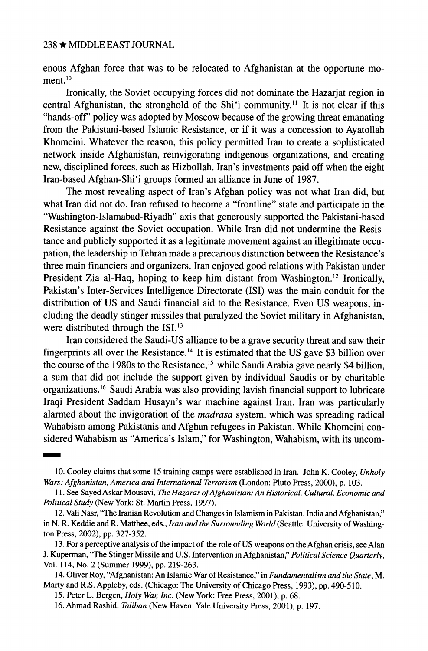**enous Afghan force that was to be relocated to Afghanistan at the opportune moment.10** 

**Ironically, the Soviet occupying forces did not dominate the Hazarjat region in central Afghanistan, the stronghold of the Shi'i community.'1 It is not clear if this "hands-off' policy was adopted by Moscow because of the growing threat emanating from the Pakistani-based Islamic Resistance, or if it was a concession to Ayatollah Khomeini. Whatever the reason, this policy permitted Iran to create a sophisticated network inside Afghanistan, reinvigorating indigenous organizations, and creating new, disciplined forces, such as Hizbollah. Iran's investments paid off when the eight Iran-based Afghan-Shi'i groups formed an alliance in June of 1987.** 

**The most revealing aspect of Iran's Afghan policy was not what Iran did, but what Iran did not do. Iran refused to become a "frontline" state and participate in the "Washington-Islamabad-Riyadh" axis that generously supported the Pakistani-based Resistance against the Soviet occupation. While Iran did not undermine the Resistance and publicly supported it as a legitimate movement against an illegitimate occupation, the leadership in Tehran made a precarious distinction between the Resistance's three main financiers and organizers. Iran enjoyed good relations with Pakistan under President Zia al-Haq, hoping to keep him distant from Washington.'2 Ironically, Pakistan's Inter-Services Intelligence Directorate (ISI) was the main conduit for the distribution of US and Saudi financial aid to the Resistance. Even US weapons, including the deadly stinger missiles that paralyzed the Soviet military in Afghanistan, were distributed through the ISI.'3** 

**Iran considered the Saudi-US alliance to be a grave security threat and saw their fingerprints all over the Resistance.'4 It is estimated that the US gave \$3 billion over the course of the 1980s to the Resistance,'5 while Saudi Arabia gave nearly \$4 billion, a sum that did not include the support given by individual Saudis or by charitable organizations. 16 Saudi Arabia was also providing lavish financial support to lubricate Iraqi President Saddam Husayn's war machine against Iran. Iran was particularly alarmed about the invigoration of the madrasa system, which was spreading radical Wahabism among Pakistanis and Afghan refugees in Pakistan. While Khomeini considered Wahabism as "America's Islam," for Washington, Wahabism, with its uncom-**

- **12. Vali Nasr, 'The Iranian Revolution and Changes in Islamism in Pakistan, India and Afghanistan," in N. R. Keddie and R. Matthee, eds., Iran and the Surrounding World (Seattle: University of Washington Press, 2002), pp. 327-352.**
- **13. For a perceptive analysis of the impact of the role of US weapons on the Afghan crisis, see Alan J. Kuperman, 'The Stinger Missile and U.S. Intervention in Afghanistan," Political Science Quarterly, Vol. 114, No. 2 (Summer 1999), pp. 219-263.**
- **14. Oliver Roy, "Afghanistan: An Islamic War of Resistance," in Fundamentalism and the State, M. Marty and R.S. Appleby, eds. (Chicago: The University of Chicago Press, 1993), pp. 490-510.**

**15. Peter L. Bergen, Holy War, Inc. (New York: Free Press, 2001), p. 68.** 

**16. Ahmad Rashid, Taliban (New Haven: Yale University Press, 2001), p. 197.** 

**<sup>10.</sup> Cooley claims that some 15 training camps were established in Iran. John K. Cooley, Unholy Wars: Afghanistan, America and International Terrorism (London: Pluto Press, 2000), p. 103.** 

**<sup>1 1.</sup> See Sayed Askar Mousavi, The Hazaras ofAfghanistan: An Historical, Cultural, Economic and Political Study (New York: St. Martin Press, 1997).**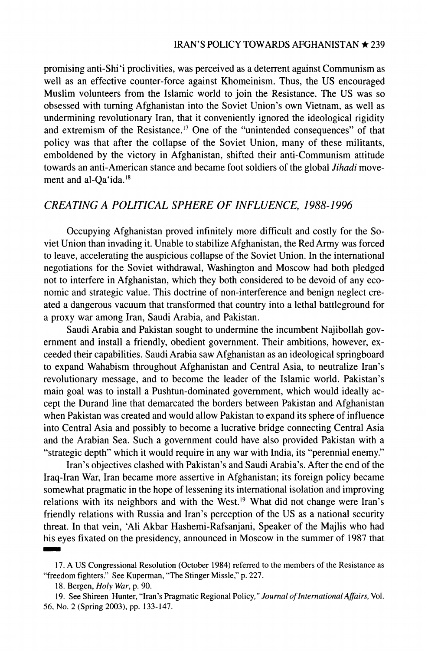#### **IRAN'S POLICY TOWARDS AFGHANISTAN \* 239**

**promising anti-Shi'i proclivities, was perceived as a deterrent against Communism as well as an effective counter-force against Khomeinism. Thus, the US encouraged Muslim volunteers from the Islamic world to join the Resistance. The US was so obsessed with turning Afghanistan into the Soviet Union's own Vietnam, as well as undermining revolutionary Iran, that it conveniently ignored the ideological rigidity and extremism of the Resistance.'7 One of the "unintended consequences" of that policy was that after the collapse of the Soviet Union, many of these militants, emboldened by the victory in Afghanistan, shifted their anti-Communism attitude towards an anti-American stance and became foot soldiers of the global Jihadi movement and al-Qa'ida.'8** 

# **CREATING A POLITICAL SPHERE OF INFLUENCE, 1988-1996**

**Occupying Afghanistan proved infinitely more difficult and costly for the Soviet Union than invading it. Unable to stabilize Afghanistan, the Red Army was forced to leave, accelerating the auspicious collapse of the Soviet Union. In the international negotiations for the Soviet withdrawal, Washington and Moscow had both pledged not to interfere in Afghanistan, which they both considered to be devoid of any economic and strategic value. This doctrine of non-interference and benign neglect created a dangerous vacuum that transformed that country into a lethal battleground for a proxy war among Iran, Saudi Arabia, and Pakistan.** 

**Saudi Arabia and Pakistan sought to undermine the incumbent Najibollah government and install a friendly, obedient government. Their ambitions, however, exceeded their capabilities. Saudi Arabia saw Afghanistan as an ideological springboard to expand Wahabism throughout Afghanistan and Central Asia, to neutralize Iran's revolutionary message, and to become the leader of the Islamic world. Pakistan's main goal was to install a Pushtun-dominated government, which would ideally accept the Durand line that demarcated the borders between Pakistan and Afghanistan when Pakistan was created and would allow Pakistan to expand its sphere of influence into Central Asia and possibly to become a lucrative bridge connecting Central Asia and the Arabian Sea. Such a government could have also provided Pakistan with a "strategic depth" which it would require in any war with India, its "perennial enemy."** 

**Iran's objectives clashed with Pakistan's and Saudi Arabia's. After the end of the Iraq-Iran War, Iran became more assertive in Afghanistan; its foreign policy became somewhat pragmatic in the hope of lessening its international isolation and improving relations with its neighbors and with the West.'9 What did not change were Iran's friendly relations with Russia and Iran's perception of the US as a national security threat. In that vein, 'Ali Akbar Hashemi-Rafsanjani, Speaker of the Majlis who had his eyes fixated on the presidency, announced in Moscow in the summer of 1987 that** 

**<sup>17.</sup> A US Congressional Resolution (October 1984) referred to the members of the Resistance as "freedom fighters." See Kuperman, "The Stinger Missle," p. 227.** 

**<sup>18.</sup> Bergen, Holy War, p. 90.** 

**<sup>19.</sup> See Shireen Hunter, "Iran's Pragmatic Regional Policy," Journal of International Affairs, Vol. 56, No. 2 (Spring 2003), pp. 133-147.**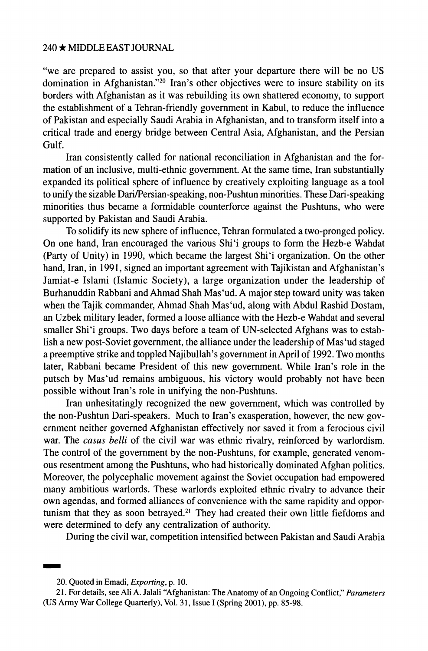**"we are prepared to assist you, so that after your departure there will be no US domination in Afghanistan."20 Iran's other objectives were to insure stability on its borders with Afghanistan as it was rebuilding its own shattered economy, to support the establishment of a Tehran-friendly government in Kabul, to reduce the influence of Pakistan and especially Saudi Arabia in Afghanistan, and to transform itself into a critical trade and energy bridge between Central Asia, Afghanistan, and the Persian Gulf.** 

**Iran consistently called for national reconciliation in Afghanistan and the formation of an inclusive, multi-ethnic government. At the same time, Iran substantially expanded its political sphere of influence by creatively exploiting language as a tool to unify the sizable Dari/Persian-speaking, non-Pushtun minorities. These Dari-speaking minorities thus became a formidable counterforce against the Pushtuns, who were supported by Pakistan and Saudi Arabia.** 

**To solidify its new sphere of influence, Tehran formulated a two-pronged policy. On one hand, Iran encouraged the various Shi'i groups to form the Hezb-e Wahdat (Party of Unity) in 1990, which became the largest Shi'i organization. On the other hand, Iran, in 1991, signed an important agreement with Tajikistan and Afghanistan's Jamiat-e Islami (Islamic Society), a large organization under the leadership of Burhanuddin Rabbani and Ahmad Shah Mas'ud. A major step toward unity was taken when the Tajik commander, Ahmad Shah Mas'ud, along with Abdul Rashid Dostam, an Uzbek military leader, formed a loose alliance with the Hezb-e Wahdat and several smaller Shi'i groups. Two days before a team of UN-selected Afghans was to establish a new post-Soviet government, the alliance under the leadership of Mas'ud staged a preemptive strike and toppled Najibullah's government in April of 1992. Two months later, Rabbani became President of this new government. While Iran's role in the putsch by Mas'ud remains ambiguous, his victory would probably not have been possible without Iran's role in unifying the non-Pushtuns.** 

**Iran unhesitatingly recognized the new government, which was controlled by the non-Pushtun Dari-speakers. Much to Iran's exasperation, however, the new government neither governed Afghanistan effectively nor saved it from a ferocious civil war. The casus belli of the civil war was ethnic rivalry, reinforced by warlordism. The control of the government by the non-Pushtuns, for example, generated venomous resentment among the Pushtuns, who had historically dominated Afghan politics. Moreover, the polycephalic movement against the Soviet occupation had empowered many ambitious warlords. These warlords exploited ethnic rivalry to advance their own agendas, and formed alliances of convenience with the same rapidity and opportunism that they as soon betrayed.21 They had created their own little fiefdoms and were determined to defy any centralization of authority.** 

**During the civil war, competition intensified between Pakistan and Saudi Arabia** 

**<sup>20.</sup> Quoted in Emadi, Exporting, p. 10.** 

**<sup>21.</sup> For details, see Ali A. Jalali "Afghanistan: The Anatomy of an Ongoing Conflict," Parameters (US Anny War College Quarterly), Vol. 31, Issue I (Spring 2001), pp. 85-98.**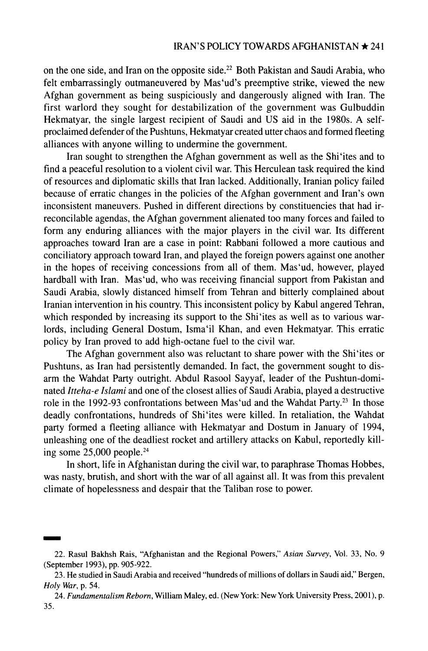**on the one side, and Iran on the opposite side.22 Both Pakistan and Saudi Arabia, who felt embarrassingly outmaneuvered by Mas'ud's preemptive strike, viewed the new Afghan government as being suspiciously and dangerously aligned with Iran. The first warlord they sought for destabilization of the government was Gulbuddin Hekmatyar, the single largest recipient of Saudi and US aid in the 1980s. A selfproclaimed defender of the Pushtuns, Hekmatyar created utter chaos and formed fleeting alliances with anyone willing to undermine the government.** 

**Iran sought to strengthen the Afghan government as well as the Shi'ites and to find a peaceful resolution to a violent civil war. This Herculean task required the kind of resources and diplomatic skills that Iran lacked. Additionally, Iranian policy failed because of erratic changes in the policies of the Afghan government and Iran's own inconsistent maneuvers. Pushed in different directions by constituencies that had irreconcilable agendas, the Afghan government alienated too many forces and failed to form any enduring alliances with the major players in the civil war. Its different approaches toward Iran are a case in point: Rabbani followed a more cautious and conciliatory approach toward Iran, and played the foreign powers against one another in the hopes of receiving concessions from all of them. Mas'ud, however, played hardball with Iran. Mas'ud, who was receiving financial support from Pakistan and Saudi Arabia, slowly distanced himself from Tehran and bitterly complained about Iranian intervention in his country. This inconsistent policy by Kabul angered Tehran,**  which responded by increasing its support to the Shi'ites as well as to various war**lords, including General Dostum, Isma'il Khan, and even Hekmatyar. This erratic policy by Iran proved to add high-octane fuel to the civil war.** 

**The Afghan government also was reluctant to share power with the Shi'ites or Pushtuns, as Iran had persistently demanded. In fact, the government sought to disarm the Wahdat Party outright. Abdul Rasool Sayyaf, leader of the Pushtun-dominated Itteha-e Islami and one of the closest allies of Saudi Arabia, played a destructive role in the 1992-93 confrontations between Mas'ud and the Wahdat Party.23 In those deadly confrontations, hundreds of Shi'ites were killed. In retaliation, the Wahdat party formed a fleeting alliance with Hekmatyar and Dostum in January of 1994, unleashing one of the deadliest rocket and artillery attacks on Kabul, reportedly killing some 25,000 people.24** 

**In short, life in Afghanistan during the civil war, to paraphrase Thomas Hobbes, was nasty, brutish, and short with the war of all against all. It was from this prevalent climate of hopelessness and despair that the Taliban rose to power.** 

**<sup>22.</sup> Rasul Bakhsh Rais, "Afghanistan and the Regional Powers," Asian Survey, Vol. 33, No. 9 (September 1993), pp. 905-922.** 

**<sup>23.</sup> He studied in Saudi Arabia and received "hundreds of millions of dollars in Saudi aid," Bergen, Holy War, p. 54.** 

**<sup>24.</sup> Fundamentalism Reborn, William Maley, ed. (New York: New York University Press, 2001), p. 35.**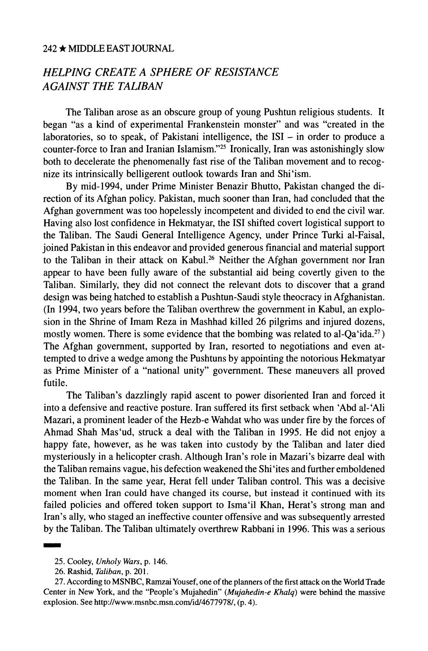# **HELPING CREATE A SPHERE OF RESISTANCE AGAINST THE TALIBAN**

**The Taliban arose as an obscure group of young Pushtun religious students. It began "as a kind of experimental Frankenstein monster" and was "created in the laboratories, so to speak, of Pakistani intelligence, the ISI - in order to produce a counter-force to Iran and Iranian Islamism."25 Ironically, Iran was astonishingly slow both to decelerate the phenomenally fast rise of the Taliban movement and to recognize its intrinsically belligerent outlook towards Iran and Shi'ism.** 

**By mid-1994, under Prime Minister Benazir Bhutto, Pakistan changed the direction of its Afghan policy. Pakistan, much sooner than Iran, had concluded that the Afghan government was too hopelessly incompetent and divided to end the civil war. Having also lost confidence in Hekmatyar, the ISI shifted covert logistical support to the Taliban. The Saudi General Intelligence Agency, under Prince Turki al-Faisal, joined Pakistan in this endeavor and provided generous financial and material support to the Taliban in their attack on Kabul.26 Neither the Afghan government nor Iran appear to have been fully aware of the substantial aid being covertly given to the Taliban. Similarly, they did not connect the relevant dots to discover that a grand design was being hatched to establish a Pushtun-Saudi style theocracy in Afghanistan. (In 1994, two years before the Taliban overthrew the government in Kabul, an explosion in the Shrine of Imam Reza in Mashhad killed 26 pilgrims and injured dozens, mostly women. There is some evidence that the bombing was related to al-Qa'ida.27 ) The Afghan government, supported by Iran, resorted to negotiations and even attempted to drive a wedge among the Pushtuns by appointing the notorious Hekmatyar as Prime Minister of a "national unity" government. These maneuvers all proved futile.** 

**The Taliban's dazzlingly rapid ascent to power disoriented Iran and forced it into a defensive and reactive posture. Iran suffered its first setback when 'Abd al-'Ali Mazari, a prominent leader of the Hezb-e Wahdat who was under fire by the forces of Ahmad Shah Mas'ud, struck a deal with the Taliban in 1995. He did not enjoy a happy fate, however, as he was taken into custody by the Taliban and later died mysteriously in a helicopter crash. Although Iran's role in Mazari's bizarre deal with the Taliban remains vague, his defection weakened the Shi'ites and further emboldened the Taliban. In the same year, Herat fell under Taliban control. This was a decisive moment when Iran could have changed its course, but instead it continued with its failed policies and offered token support to Isma'il Khan, Herat's strong man and Iran's ally, who staged an ineffective counter offensive and was subsequently arrested**  by the Taliban. The Taliban ultimately overthrew Rabbani in 1996. This was a serious

**<sup>25.</sup> Cooley, Unholy Wars, p. 146.** 

**<sup>26.</sup> Rashid, Taliban, p. 201.** 

**<sup>27.</sup> According to MSNBC, Ramzai Yousef, one of the planners of the first attack on the World Trade Center in New York, and the "People's Mujahedin" (Mujahedin-e Khalq) were behind the massive explosion. See http://www.msnbc.msn.com/id/4677978/, (p. 4).**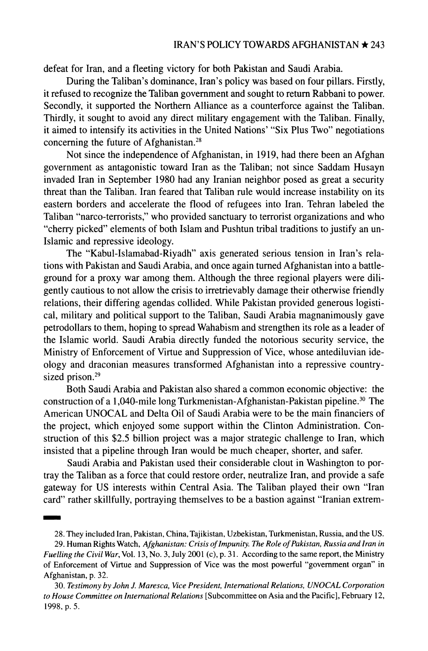**defeat for Iran, and a fleeting victory for both Pakistan and Saudi Arabia.** 

**During the Taliban's dominance, Iran's policy was based on four pillars. Firstly, it refused to recognize the Taliban government and sought to return Rabbani to power. Secondly, it supported the Northern Alliance as a counterforce against the Taliban. Thirdly, it sought to avoid any direct military engagement with the Taliban. Finally, it aimed to intensify its activities in the United Nations' "Six Plus Two" negotiations concerning the future of Afghanistan.28** 

**Not since the independence of Afghanistan, in 1919, had there been an Afghan government as antagonistic toward Iran as the Taliban; not since Saddam Husayn invaded Iran in September 1980 had any Iranian neighbor posed as great a security threat than the Taliban. Iran feared that Taliban rule would increase instability on its eastern borders and accelerate the flood of refugees into Iran. Tehran labeled the Taliban "narco-terrorists," who provided sanctuary to terrorist organizations and who "cherry picked" elements of both Islam and Pushtun tribal traditions to justify an un-Islamic and repressive ideology.** 

**The "Kabul-Islamabad-Riyadh" axis generated serious tension in Iran's relations with Pakistan and Saudi Arabia, and once again turned Afghanistan into a battleground for a proxy war among them. Although the three regional players were diligently cautious to not allow the crisis to irretrievably damage their otherwise friendly relations, their differing agendas collided. While Pakistan provided generous logistical, military and political support to the Taliban, Saudi Arabia magnanimously gave petrodollars to them, hoping to spread Wahabism and strengthen its role as a leader of the Islamic world. Saudi Arabia directly funded the notorious security service, the Ministry of Enforcement of Virtue and Suppression of Vice, whose antediluvian ideology and draconian measures transformed Afghanistan into a repressive countrysized prison.29** 

**Both Saudi Arabia and Pakistan also shared a common economic objective: the construction of a 1,040-mile long Turkmenistan-Afghanistan-Pakistan pipeline.30 The American UNOCAL and Delta Oil of Saudi Arabia were to be the main financiers of the project, which enjoyed some support within the Clinton Administration. Construction of this \$2.5 billion project was a major strategic challenge to Iran, which insisted that a pipeline through Iran would be much cheaper, shorter, and safer.** 

**Saudi Arabia and Pakistan used their considerable clout in Washington to portray the Taliban as a force that could restore order, neutralize Iran, and provide a safe gateway for US interests within Central Asia. The Taliban played their own "Iran card" rather skillfully, portraying themselves to be a bastion against "Iranian extrem-**

**<sup>28.</sup> They included Iran, Pakistan, China, Tajikistan, Uzbekistan, Turkmenistan, Russia, and the US.** 

**<sup>29.</sup> Human Rights Watch, Afghanistan: Crisis of Impunity. The Role of Pakistan, Russia and Iran in Fuelling the Civil War, Vol. 13, No. 3, July 2001 (c), p. 31. According to the same report, the Ministry of Enforcement of Virtue and Suppression of Vice was the most powerful "government organ" in Afghanistan, p. 32.** 

**<sup>30.</sup> Testimony by John J. Maresca, Vice President, International Relations, UNOCAL Corporation to House Committee on International Relations [Subcommittee on Asia and the Pacific], February 12, 1998, p. 5.**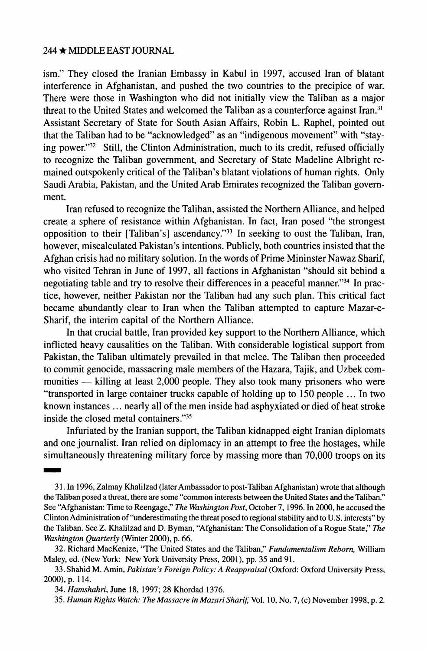**ism." They closed the Iranian Embassy in Kabul in 1997, accused Iran of blatant interference in Afghanistan, and pushed the two countries to the precipice of war. There were those in Washington who did not initially view the Taliban as a major threat to the United States and welcomed the Taliban as a counterforce against Iran.3" Assistant Secretary of State for South Asian Affairs, Robin L. Raphel, pointed out that the Taliban had to be "acknowledged" as an "indigenous movement" with "staying power."32 Still, the Clinton Administration, much to its credit, refused officially to recognize the Taliban government, and Secretary of State Madeline Albright remained outspokenly critical of the Taliban's blatant violations of human rights. Only Saudi Arabia, Pakistan, and the United Arab Emirates recognized the Taliban government.** 

**Iran refused to recognize the Taliban, assisted the Northern Alliance, and helped create a sphere of resistance within Afghanistan. In fact, Iran posed "the strongest opposition to their [Taliban's] ascendancy."33 In seeking to oust the Taliban, Iran, however, miscalculated Pakistan's intentions. Publicly, both countries insisted that the Afghan crisis had no military solution. In the words of Prime Mininster Nawaz Sharif, who visited Tehran in June of 1997, all factions in Afghanistan "should sit behind a negotiating table and try to resolve their differences in a peaceful manner."34 In practice, however, neither Pakistan nor the Taliban had any such plan. This critical fact became abundantly clear to Iran when the Taliban attempted to capture Mazar-e-Sharif, the interim capital of the Northern Alliance.** 

**In that crucial battle, Iran provided key support to the Northern Alliance, which inflicted heavy causalities on the Taliban. With considerable logistical support from Pakistan, the Taliban ultimately prevailed in that melee. The Taliban then proceeded to commit genocide, massacring male members of the Hazara, Tajik, and Uzbek communities - killing at least 2,000 people. They also took many prisoners who were "transported in large container trucks capable of holding up to 150 people ... In two known instances ... nearly all of the men inside had asphyxiated or died of heat stroke inside the closed metal containers."35** 

**Infuriated by the Iranian support, the Taliban kidnapped eight Iranian diplomats and one journalist. Iran relied on diplomacy in an attempt to free the hostages, while simultaneously threatening military force by massing more than 70,000 troops on its** 

**<sup>31.</sup> In 1996, Zalmay Khalilzad (laterAmbassador to post-Taliban Afghanistan) wrote that although the Taliban posed a threat, there are some "common interests between the United States and the Taliban." See "Afghanistan: Time to Reengage," The Washington Post, October 7, 1996. In 2000, he accused the Clinton Administration of "underestimating the threat posed to regional stability and to U.S. interests" by the Taliban. See Z. Khalilzad and D. Byman, "Afghanistan: The Consolidation of a Rogue State," The Washington Quarterly (Winter 2000), p. 66.** 

**<sup>32.</sup> Richard MacKenize, "The United States and the Taliban," Fundamentalism Reborn, William Maley, ed. (New York: New York University Press, 2001), pp. 35 and 91.** 

**<sup>33.</sup> Shahid M. Amin, Pakistan's Foreign Policy: A Reappraisal (Oxford: Oxford University Press, 2000), p. 1 14.** 

**<sup>34.</sup> Hamshahri, June 18, 1997; 28 Khordad 1376.** 

**<sup>35.</sup> Human Rights Watch: The Massacre in Mazari Sharif; Vol. 10, No. 7, (c) November 1998, p. 2.**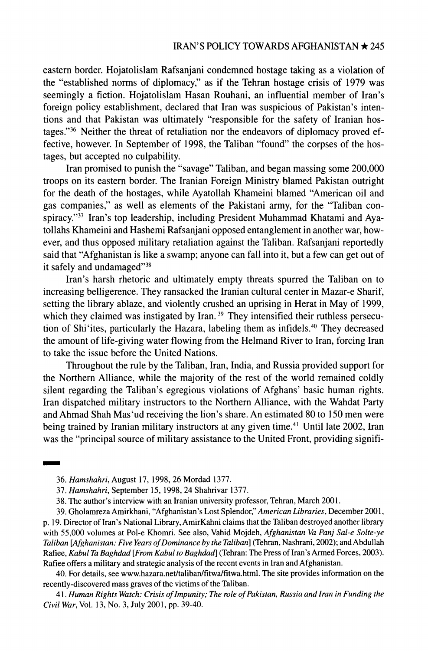**eastern border. Hojatolislam Rafsanjani condemned hostage taking as a violation of the "established norms of diplomacy," as if the Tehran hostage crisis of 1979 was seemingly a fiction. Hojatolislam Hasan Rouhani, an influential member of Iran's foreign policy establishment, declared that Iran was suspicious of Pakistan's intentions and that Pakistan was ultimately "responsible for the safety of Iranian hostages."36 Neither the threat of retaliation nor the endeavors of diplomacy proved effective, however. In September of 1998, the Taliban "found" the corpses of the hostages, but accepted no culpability.** 

**Iran promised to punish the "savage" Taliban, and began massing some 200,000 troops on its eastern border. The Iranian Foreign Ministry blamed Pakistan outright for the death of the hostages, while Ayatollah Khameini blamed "American oil and gas companies," as well as elements of the Pakistani army, for the "Taliban conspiracy."37 Iran's top leadership, including President Muhammad Khatami and Ayatollahs Khameini and Hashemi Rafsanjani opposed entanglement in another war, however, and thus opposed military retaliation against the Taliban. Rafsanjani reportedly said that "Afghanistan is like a swamp; anyone can fall into it, but a few can get out of it safely and undamaged"38** 

**Iran's harsh rhetoric and ultimately empty threats spurred the Taliban on to increasing belligerence. They ransacked the Iranian cultural center in Mazar-e Sharif, setting the library ablaze, and violently crushed an uprising in Herat in May of 1999, which they claimed was instigated by Iran. 39 They intensified their ruthless persecution of Shi'ites, particularly the Hazara, labeling them as infidels.40 They decreased the amount of life-giving water flowing from the Helmand River to Iran, forcing Iran to take the issue before the United Nations.** 

Throughout the rule by the Taliban, Iran, India, and Russia provided support for **the Northern Alliance, while the majority of the rest of the world remained coldly silent regarding the Taliban's egregious violations of Afghans' basic human rights. Iran dispatched military instructors to the Northern Alliance, with the Wahdat Party and Ahmad Shah Mas'ud receiving the lion's share. An estimated 80 to 150 men were**  being trained by Iranian military instructors at any given time.<sup>41</sup> Until late 2002, Iran **was the "principal source of military assistance to the United Front, providing signifi-**

**40. For details, see www.hazara.net/taliban/fitwa/fitwa.html. The site provides information on the recently-discovered mass graves of the victims of the Taliban.** 

**41. Human Rights Watch: Crisis of Impunity; The role of Pakistan, Russia and Iran in Funding the Civil War, Vol. 13, No. 3, July 2001, pp. 39-40.** 

**<sup>36.</sup> Hamshahri, August 17, 1998, 26 Mordad 1377.** 

**<sup>37.</sup> Hamshahri, September 15, 1998, 24 Shahrivar 1377.** 

**<sup>38.</sup> The author's interview with an Iranian university professor, Tehran, March 2001.** 

**<sup>39.</sup> Gholamreza Amirkhani, "Afghanistan's Lost Splendor," American Libraries, December 2001, p. 19. Director of Iran's National Library, AmirKahni claims that the Taliban destroyed another library with 55,000 volumes at Pol-e Khomri. See also, Vahid Mojdeh, Afghanistan Va Panj Sal-e Solte-ye Taliban [Afghanistan: Five Years of Dominance by the Taliban] (Tehran, Nashrani, 2002); and Abdullah Rafiee, Kabul Ta Baghdad [From Kabul to Baghdad] (Tehran: The Press of Iran's Armed Forces, 2003). Rafiee offers a military and strategic analysis of the recent events in Iran and Afghanistan.**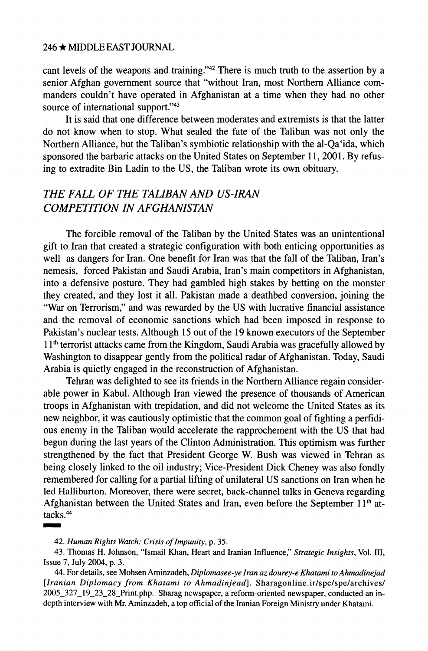**cant levels of the weapons and training."42 There is much truth to the assertion by a senior Afghan government source that "without Iran, most Northern Alliance commanders couldn't have operated in Afghanistan at a time when they had no other source of international support."43** 

**It is said that one difference between moderates and extremists is that the latter do not know when to stop. What sealed the fate of the Taliban was not only the Northern Alliance, but the Taliban's symbiotic relationship with the al-Qa'ida, which sponsored the barbaric attacks on the United States on September 11, 2001. By refusing to extradite Bin Ladin to the US, the Taliban wrote its own obituary.** 

# **THE FALL OF THE TALIBAN AND US-IRAN COMPETITION IN AFGHANISTAN**

**The forcible removal of the Taliban by the United States was an unintentional gift to Iran that created a strategic configuration with both enticing opportunities as well as dangers for Iran. One benefit for Iran was that the fall of the Taliban, Iran's nemesis, forced Pakistan and Saudi Arabia, Iran's main competitors in Afghanistan, into a defensive posture. They had gambled high stakes by betting on the monster they created, and they lost it all. Pakistan made a deathbed conversion, joining the "War on Terrorism," and was rewarded by the US with lucrative financial assistance and the removal of economic sanctions which had been imposed in response to Pakistan's nuclear tests. Although 15 out of the 19 known executors of the September 1 Ith terrorist attacks came from the Kingdom, Saudi Arabia was gracefully allowed by Washington to disappear gently from the political radar of Afghanistan. Today, Saudi Arabia is quietly engaged in the reconstruction of Afghanistan.** 

**Tehran was delighted to see its friends in the Northern Alliance regain considerable power in Kabul. Although Iran viewed the presence of thousands of American troops in Afghanistan with trepidation, and did not welcome the United States as its new neighbor, it was cautiously optimistic that the common goal of fighting a perfidious enemy in the Taliban would accelerate the rapprochement with the US that had begun during the last years of the Clinton Administration. This optimism was further strengthened by the fact that President George W. Bush was viewed in Tehran as being closely linked to the oil industry; Vice-President Dick Cheney was also fondly remembered for calling for a partial lifting of unilateral US sanctions on Iran when he led Halliburton. Moreover, there were secret, back-channel talks in Geneva regarding**  Afghanistan between the United States and Iran, even before the September 11<sup>th</sup> at**tacks."4** 

**42. Human Rights Watch: Crisis of Impunity, p. 35.** 

**43. Thomas H. Johnson, "Ismail Khan, Heart and Iranian Influence," Strategic Insights, Vol. III, Issue 7, July 2004, p. 3.** 

**<sup>44.</sup> For details, see Mohsen Aminzadeh, Diplomasee-ye Iran az dourey-e Khatami to Ahmadinejad [Iranian Diplomacy from Khatami to Ahmadinjead]. Sharagonline.ir/spe/spe/archives/ 2005\_327\_19\_23\_28\_Print.php. Sharag newspaper, a reform-oriented newspaper, conducted an indepth interview with Mr. Aminzadeh, a top official of the Iranian Foreign Ministry under Khatami.**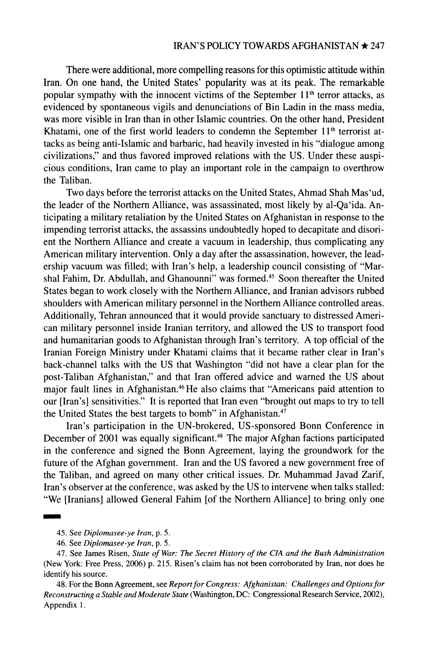**There were additional, more compelling reasons for this optimistic attitude within Iran. On one hand, the United States' popularity was at its peak. The remarkable popular sympathy with the innocent victims of the September 11th terror attacks, as evidenced by spontaneous vigils and denunciations of Bin Ladin in the mass media, was more visible in Iran than in other Islamic countries. On the other hand, President**  Khatami, one of the first world leaders to condemn the September 11<sup>th</sup> terrorist at**tacks as being anti-Islamic and barbaric, had heavily invested in his "dialogue among civilizations," and thus favored improved relations with the US. Under these auspicious conditions, Iran came to play an important role in the campaign to overthrow the Taliban.** 

**Two days before the terrorist attacks on the United States, Ahmad Shah Mas'ud, the leader of the Northern Alliance, was assassinated, most likely by al-Qa'ida. Anticipating a military retaliation by the United States on Afghanistan in response to the impending terrorist attacks, the assassins undoubtedly hoped to decapitate and disorient the Northern Alliance and create a vacuum in leadership, thus complicating any American military intervention. Only a day after the assassination, however, the leadership vacuum was filled; with Iran's help, a leadership council consisting of "Mar**shal Fahim, Dr. Abdullah, and Ghanounni" was formed.<sup>45</sup> Soon thereafter the United **States began to work closely with the Northern Alliance, and Iranian advisors rubbed shoulders with American military personnel in the Northern Alliance controlled areas. Additionally, Tehran announced that it would provide sanctuary to distressed American military personnel inside Iranian territory, and allowed the US to transport food and humanitarian goods to Afghanistan through Iran's territory. A top official of the Iranian Foreign Ministry under Khatami claims that it became rather clear in Iran's back-channel talks with the US that Washington "did not have a clear plan for the post-Taliban Afghanistan," and that Iran offered advice and warned the US about**  major fault lines in Afghanistan.<sup>46</sup> He also claims that "Americans paid attention to **our [Iran's] sensitivities." It is reported that Iran even "brought out maps to try to tell the United States the best targets to bomb" in Afghanistan.47** 

**Iran's participation in the UN-brokered, US-sponsored Bonn Conference in December of 2001 was equally significant.48 The major Afghan factions participated in the conference and signed the Bonn Agreement, laying the groundwork for the future of the Afghan government. Iran and the US favored a new government free of the Taliban, and agreed on many other critical issues. Dr. Muhammad Javad Zarif, Iran's observer at the conference, was asked by the US to intervene when talks stalled: "We [Iranians] allowed General Fahim [of the Northern Alliance] to bring only one** 

**<sup>45.</sup> See Diplomasee-ye Iran, p. 5.** 

**<sup>46.</sup> See Diplomasee-ye Iran, p. 5.** 

**<sup>47.</sup> See James Risen, State of War: The Secret History of the CIA and the Bush Administration (New York: Free Press, 2006) p. 215. Risen's claim has not been corroborated by Iran, nor does he identify his source.** 

<sup>48.</sup> For the Bonn Agreement, see Report for Congress: Afghanistan: Challenges and Options for **Reconstructing a Stable and Moderate State (Washington, DC: Congressional Research Service, 2002), Appendix 1.**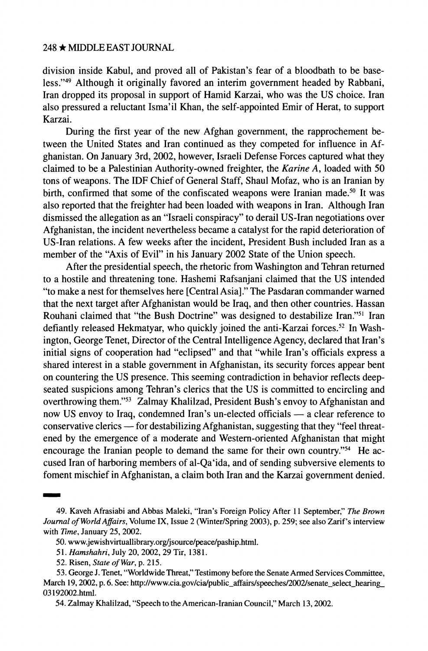**division inside Kabul, and proved all of Pakistan's fear of a bloodbath to be baseless."49 Although it originally favored an interim government headed by Rabbani, Iran dropped its proposal in support of Hamid Karzai, who was the US choice. Iran also pressured a reluctant Isma'il Khan, the self-appointed Emir of Herat, to support Karzai.** 

**During the first year of the new Afghan government, the rapprochement between the United States and Iran continued as they competed for influence in Afghanistan. On January 3rd, 2002, however, Israeli Defense Forces captured what they claimed to be a Palestinian Authority-owned freighter, the Karine A, loaded with 50 tons of weapons. The IDF Chief of General Staff, Shaul Mofaz, who is an Iranian by**  birth, confirmed that some of the confiscated weapons were Iranian made.<sup>50</sup> It was **also reported that the freighter had been loaded with weapons in Iran. Although Iran dismissed the allegation as an "Israeli conspiracy" to derail US-Iran negotiations over Afghanistan, the incident nevertheless became a catalyst for the rapid deterioration of US-Iran relations. A few weeks after the incident, President Bush included Iran as a member of the "Axis of Evil" in his January 2002 State of the Union speech.** 

**After the presidential speech, the rhetoric from Washington and Tehran returned to a hostile and threatening tone. Hashemi Rafsanjani claimed that the US intended "to make a nest for themselves here [Central Asia]." The Pasdaran commander warned that the next target after Afghanistan would be Iraq, and then other countries. Hassan Rouhani claimed that "the Bush Doctrine" was designed to destabilize Iran."5' Iran defiantly released Hekmatyar, who quickly joined the anti-Karzai forces.52 In Washington, George Tenet, Director of the Central Intelligence Agency, declared that Iran's initial signs of cooperation had "eclipsed" and that "while Iran's officials express a shared interest in a stable government in Afghanistan, its security forces appear bent on countering the US presence. This seeming contradiction in behavior reflects deepseated suspicions among Tehran's clerics that the US is committed to encircling and overthrowing them."53 Zalmay Khalilzad, President Bush's envoy to Afghanistan and now US envoy to Iraq, condemned Iran's un-elected officials - a clear reference to conservative clerics - for destabilizing Afghanistan, suggesting that they "feel threatened by the emergence of a moderate and Western-oriented Afghanistan that might encourage the Iranian people to demand the same for their own country."54 He accused Iran of harboring members of al-Qa'ida, and of sending subversive elements to foment mischief in Afghanistan, a claim both Iran and the Karzai government denied.** 

**<sup>49.</sup> Kaveh Afrasiabi and Abbas Maleki, "Iran's Foreign Policy After 11 September," The Brown Journal of World Affairs, Volume IX, Issue 2 (Winter/Spring 2003), p. 259; see also Zarif's interview with Time, January 25, 2002.** 

**<sup>50.</sup> wwwjewishvirtuallibrary.org/jsource/peace/paship.html.** 

**<sup>51.</sup> Hamshahri, July 20, 2002, 29 Tir, 1381.** 

**<sup>52.</sup> Risen, State of War, p. 215.** 

**<sup>53.</sup> George J. Tenet, "Worldwide Threat," Testimony before the Senate Armed Services Committee,**  March 19, 2002, p. 6. See: http://www.cia.gov/cia/public\_affairs/speeches/2002/senate\_select\_hearing\_ **03 192002.html.** 

**<sup>54.</sup> Zalmay Khalilzad, "Speech to the American-Iranian Council," March 13, 2002.**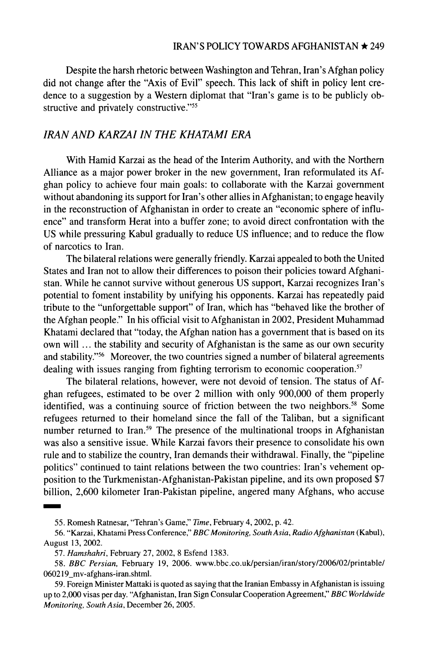**Despite the harsh rhetoric between Washington and Tehran, Iran's Afghan policy did not change after the "Axis of Evil" speech. This lack of shift in policy lent credence to a suggestion by a Western diplomat that "Iran's game is to be publicly obstructive and privately constructive."55** 

## **IRAN AND KARZAI IN THE KHATAMI ERA**

**With Hamid Karzai as the head of the Interim Authority, and with the Northern Alliance as a major power broker in the new government, Iran reformulated its Afghan policy to achieve four main goals: to collaborate with the Karzai government without abandoning its support for Iran's other allies in Afghanistan; to engage heavily in the reconstruction of Afghanistan in order to create an "economic sphere of influence" and transform Herat into a buffer zone; to avoid direct confrontation with the US while pressuring Kabul gradually to reduce US influence; and to reduce the flow of narcotics to Iran.** 

**The bilateral relations were generally friendly. Karzai appealed to both the United States and Iran not to allow their differences to poison their policies toward Afghanistan. While he cannot survive without generous US support, Karzai recognizes Iran's potential to foment instability by unifying his opponents. Karzai has repeatedly paid tribute to the "unforgettable support" of Iran, which has "behaved like the brother of the Afghan people." In his official visit to Afghanistan in 2002, President Muhammad**  Khatami declared that "today, the Afghan nation has a government that is based on its **own will ... the stability and security of Afghanistan is the same as our own security and stability."56 Moreover, the two countries signed a number of bilateral agreements dealing with issues ranging from fighting terrorism to economic cooperation.57** 

**The bilateral relations, however, were not devoid of tension. The status of Afghan refugees, estimated to be over 2 million with only 900,000 of them properly identified, was a continuing source of friction between the two neighbors.58 Some refugees returned to their homeland since the fall of the Taliban, but a significant number returned to Iran.59 The presence of the multinational troops in Afghanistan was also a sensitive issue. While Karzai favors their presence to consolidate his own rule and to stabilize the country, Iran demands their withdrawal. Finally, the "pipeline politics" continued to taint relations between the two countries: Iran's vehement opposition to the Turkmenistan-Afghanistan-Pakistan pipeline, and its own proposed \$7 billion, 2,600 kilometer Iran-Pakistan pipeline, angered many Afghans, who accuse** 

**<sup>55.</sup> Romesh Ratnesar, "Tehran's Game," Time, February 4, 2002, p. 42.** 

**<sup>56. &</sup>quot;Karzai, Khatami Press Conference," BBC Monitoring, South Asia, Radio Afghanistan (Kabul), August 13, 2002.** 

**<sup>57.</sup> Hamshahri, February 27, 2002, 8 Esfend 1383.** 

**<sup>58.</sup> BBC Persian, February 19, 2006. www.bbc.co.uk/persian/iran/story/2006/02/printable/ 0602 19\_mv-afghans-iran.shtml.** 

**<sup>59.</sup> Foreign Minister Mattaki is quoted as saying that the Iranian Embassy in Afghanistan is issuing up to 2,000 visas per day. "Afghanistan, Iran Sign Consular Cooperation Agreement," BBC Worldwide Monitoring, South Asia, December 26, 2005.**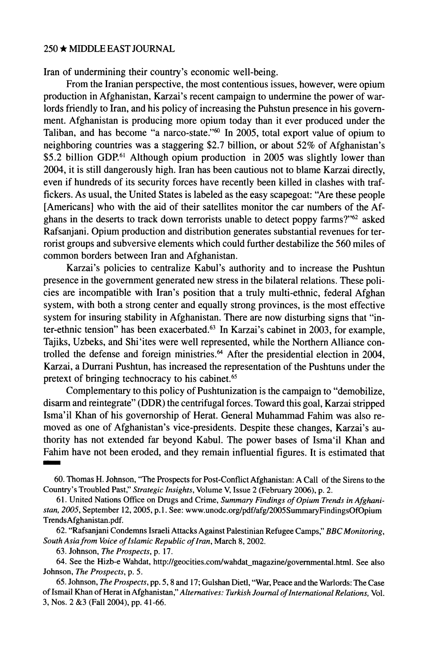**Iran of undermining their country's economic well-being.** 

**From the Iranian perspective, the most contentious issues, however, were opium production in Afghanistan, Karzai's recent campaign to undermine the power of war**lords friendly to Iran, and his policy of increasing the Puhstun presence in his govern**ment. Afghanistan is producing more opium today than it ever produced under the**  Taliban, and has become "a narco-state."<sup>60</sup> In 2005, total export value of opium to **neighboring countries was a staggering \$2.7 billion, or about 52% of Afghanistan's**  \$5.2 billion GDP.<sup>61</sup> Although opium production in 2005 was slightly lower than **2004, it is still dangerously high. Iran has been cautious not to blame Karzai directly, even if hundreds of its security forces have recently been killed in clashes with traffickers. As usual, the United States is labeled as the easy scapegoat: "Are these people [Americans] who with the aid of their satellites monitor the car numbers of the Afghans in the deserts to track down terrorists unable to detect poppy farms?"62 asked Rafsanjani. Opium production and distribution generates substantial revenues for terrorist groups and subversive elements which could further destabilize the 560 miles of common borders between Iran and Afghanistan.** 

**Karzai's policies to centralize Kabul's authority and to increase the Pushtun presence in the government generated new stress in the bilateral relations. These policies are incompatible with Iran's position that a truly multi-ethnic, federal Afghan system, with both a strong center and equally strong provinces, is the most effective system for insuring stability in Afghanistan. There are now disturbing signs that "inter-ethnic tension" has been exacerbated.63 In Karzai's cabinet in 2003, for example, Tajiks, Uzbeks, and Shi'ites were well represented, while the Northern Alliance con**trolled the defense and foreign ministries.<sup>64</sup> After the presidential election in 2004, **Karzai, a Durrani Pushtun, has increased the representation of the Pushtuns under the pretext of bringing technocracy to his cabinet.65** 

**Complementary to this policy of Pushtunization is the campaign to "demobilize, disarm and reintegrate" (DDR) the centrifugal forces. Toward this goal, Karzai stripped Isma'il Khan of his governorship of Herat. General Muhammad Fahim was also removed as one of Afghanistan's vice-presidents. Despite these changes, Karzai's authority has not extended far beyond Kabul. The power bases of Isma'il Khan and Fahim have not been eroded, and they remain influential figures. It is estimated that** 

**<sup>60.</sup> Thomas H. Johnson, "The Prospects for Post-Conflict Afghanistan: A Call of the Sirens to the Country's Troubled Past," Strategic Insights, Volume V, Issue 2 (February 2006), p. 2.** 

**<sup>61.</sup> United Nations Office on Drugs and Crime, Summary Findings of Opium Trends in Afghanistan, 2005, September 12, 2005, p.1. See: www.unodc.org/pdf/afg/2005SummaryFindingsOfOpium TrendsAfghanistan.pdf.** 

**<sup>62. &</sup>quot;Rafsanjani Condemns Israeli Attacks Against Palestinian Refugee Camps," BBC Monitoring, South Asia from Voice of Islamic Republic of Iran, March 8, 2002.** 

**<sup>63.</sup> Johnson, The Prospects, p. 17.** 

**<sup>64.</sup> See the Hizb-e Wahdat, http://geocities.comlwahdat\_magazine/governmental.html. See also Johnson, The Prospects, p. 5.** 

**<sup>65.</sup> Johnson, The Prospects, pp. 5, 8 and 17; Gulshan Dietl, "War, Peace and the Warlords: The Case of Ismail Khan of Herat in Afghanistan," Alternatives: Turkish Joumal of International Relations, Vol. 3, Nos. 2 &3 (Fall 2004), pp. 41-66.**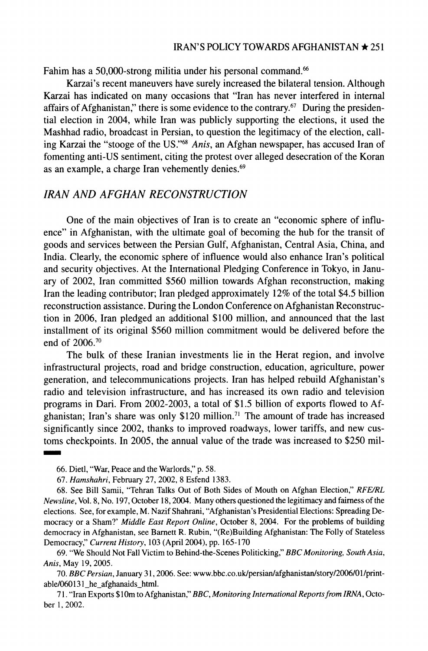**Fahim has a 50,000-strong militia under his personal command.66** 

**Karzai's recent maneuvers have surely increased the bilateral tension. Although Karzai has indicated on many occasions that "Iran has never interfered in internal affairs of Afghanistan," there is some evidence to the contrary.67 During the presidential election in 2004, while Iran was publicly supporting the elections, it used the Mashhad radio, broadcast in Persian, to question the legitimacy of the election, calling Karzai the "stooge of the US."68 Anis, an Afghan newspaper, has accused Iran of fomenting anti-US sentiment, citing the protest over alleged desecration of the Koran as an example, a charge Iran vehemently denies.69** 

#### **IRAN AND AFGHAN RECONSTRUCTION**

**One of the main objectives of Iran is to create an "economic sphere of influence" in Afghanistan, with the ultimate goal of becoming the hub for the transit of goods and services between the Persian Gulf, Afghanistan, Central Asia, China, and India. Clearly, the economic sphere of influence would also enhance Iran's political and security objectives. At the International Pledging Conference in Tokyo, in January of 2002, Iran committed \$560 million towards Afghan reconstruction, making Iran the leading contributor; Iran pledged approximately 12% of the total \$4.5 billion reconstruction assistance. During the London Conference on Afghanistan Reconstruction in 2006, Iran pledged an additional \$100 million, and announced that the last installment of its original \$560 million commitment would be delivered before the end of 2006.70** 

**The bulk of these Iranian investments lie in the Herat region, and involve infrastructural projects, road and bridge construction, education, agriculture, power generation, and telecommunications projects. Iran has helped rebuild Afghanistan's radio and television infrastructure, and has increased its own radio and television programs in Dari. From 2002-2003, a total of \$1.5 billion of exports flowed to Afghanistan; Iran's share was only \$120 million.7" The amount of trade has increased significantly since 2002, thanks to improved roadways, lower tariffs, and new customs checkpoints. In 2005, the annual value of the trade was increased to \$250 mil-**

**<sup>66.</sup> Dietl, "War, Peace and the Warlords," p. 58.** 

**<sup>67.</sup> Hamshahri, February 27, 2002, 8 Esfend 1383.** 

**<sup>68.</sup> See Bill Samii, "Tehran Talks Out of Both Sides of Mouth on Afghan Election," RFE/RL Newsline, Vol. 8, No. 197, October 18, 2004. Many others questioned the legitimacy and fairness of the elections. See, for example, M. Nazif Shahrani, "Afghanistan's Presidential Elections: Spreading Democracy or a Sham?' Middle East Report Online, October 8, 2004. For the problems of building democracy in Afghanistan, see Barnett R. Rubin, "(Re)Building Afghanistan: The Folly of Stateless Democracy," Current History, 103 (April 2004), pp. 165-170** 

**<sup>69. &</sup>quot;We Should Not Fall Victim to Behind-the-Scenes Politicking," BBC Monitoring, South Asia, Anis, May 19, 2005.** 

**<sup>70.</sup> BBC Persian, January 31, 2006. See: www.bbc.co.uk/persian/afghanistan/story/2006/0l/printable/06013 I \_he\_afghanaids\_html.** 

**<sup>71. &</sup>quot;Iran Exports \$1Om to Afghanistan," BBC, Monitoring International Reportsfrom IRNA, October 1, 2002.**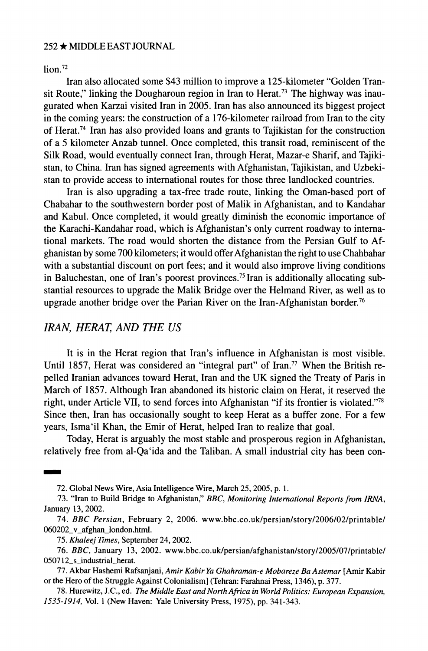**lion.72** 

**Iran also allocated some \$43 million to improve a 125-kilometer "Golden Tran**sit Route," linking the Dougharoun region in Iran to Herat.<sup>73</sup> The highway was inau**gurated when Karzai visited Iran in 2005. Iran has also announced its biggest project in the coming years: the construction of a 176-kilometer railroad from Iran to the city**  of Herat.<sup>74</sup> Iran has also provided loans and grants to Tajikistan for the construction **of a 5 kilometer Anzab tunnel. Once completed, this transit road, reminiscent of the Silk Road, would eventually connect Iran, through Herat, Mazar-e Sharif, and Tajikistan, to China. Iran has signed agreements with Afghanistan, Tajikistan, and Uzbekistan to provide access to international routes for those three landlocked countries.** 

**Iran is also upgrading a tax-free trade route, linking the Oman-based port of Chabahar to the southwestern border post of Malik in Afghanistan, and to Kandahar and Kabul. Once completed, it would greatly diminish the economic importance of the Karachi-Kandahar road, which is Afghanistan's only current roadway to international markets. The road would shorten the distance from the Persian Gulf to Afghanistan by some 700 kilometers; it would offerAfghanistan the right to use Chahbahar with a substantial discount on port fees; and it would also improve living conditions in Baluchestan, one of Iran's poorest provinces.75 Iran is additionally allocating substantial resources to upgrade the Malik Bridge over the Helmand River, as well as to upgrade another bridge over the Parian River on the Iran-Afghanistan border.76** 

#### **IRAN, HERAT, AND THE US**

**It is in the Herat region that Iran's influence in Afghanistan is most visible.**  Until 1857, Herat was considered an "integral part" of Iran.<sup>77</sup> When the British re**pelled Iranian advances toward Herat, Iran and the UK signed the Treaty of Paris in March of 1857. Although Iran abandoned its historic claim on Herat, it reserved the right, under Article VII, to send forces into Afghanistan "if its frontier is violated."78 Since then, Iran has occasionally sought to keep Herat as a buffer zone. For a few years, Isma'il Khan, the Emir of Herat, helped Iran to realize that goal.** 

**Today, Herat is arguably the most stable and prosperous region in Afghanistan, relatively free from al-Qa'ida and the Taliban. A small industrial city has been con-**

**<sup>72.</sup> Global News Wire, Asia Intelligence Wire, March 25, 2005, p. 1.** 

**<sup>73. &</sup>quot;Iran to Build Bridge to Afghanistan," BBC, Monitoring International Reports from IRNA, January 13, 2002.** 

**<sup>74.</sup> BBC Persian, February 2, 2006. www.bbc.co.uk/persian/story/2006/02/printable/**  060202\_v\_afghan\_london.html.

**<sup>75.</sup> Khaleej Times, September 24,2002.** 

**<sup>76.</sup> BBC, January 13, 2002. www.bbc.co.uk/persian/afghanistan/story/2005/07/printable/ 0507 12\_s industrial\_herat.** 

**<sup>77.</sup> Akbar Hashemi Rafsanjani, Amir Kabir Ya Ghahraman-e Mobareze Ba Astemar [Amir Kabir or the Hero of the Struggle Against Colonialism] (Tehran: Farahnai Press, 1346), p. 377.** 

**<sup>78.</sup> Hurewitz, J.C., ed. The Middle East and North Africa in World Politics: European Expansion, 1535-1914, Vol. 1 (New Haven: Yale University Press, 1975), pp. 341-343.**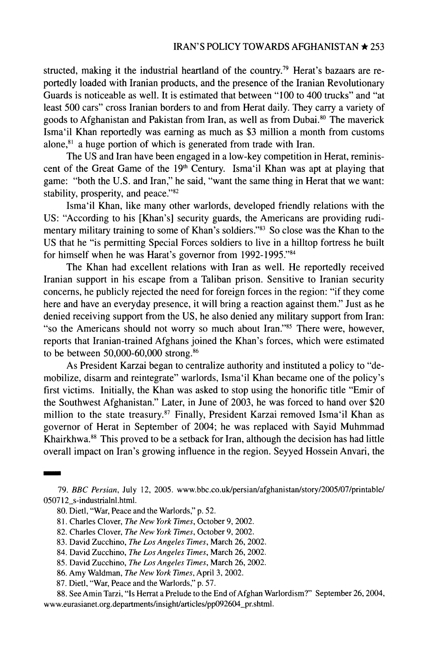structed, making it the industrial heartland of the country.<sup>79</sup> Herat's bazaars are re**portedly loaded with Iranian products, and the presence of the Iranian Revolutionary Guards is noticeable as well. It is estimated that between "100 to 400 trucks" and "at least 500 cars" cross Iranian borders to and from Herat daily. They carry a variety of goods to Afghanistan and Pakistan from Iran, as well as from Dubai.80 The maverick Isma'il Khan reportedly was earning as much as \$3 million a month from customs alone,81 a huge portion of which is generated from trade with Iran.** 

**The US and Iran have been engaged in a low-key competition in Herat, reminis**cent of the Great Game of the 19<sup>th</sup> Century. Isma'il Khan was apt at playing that **game: "both the U.S. and Iran," he said, "want the same thing in Herat that we want: stability, prosperity, and peace."82** 

**Isma'il Khan, like many other warlords, developed friendly relations with the US: "According to his [Khan's] security guards, the Americans are providing rudi**mentary military training to some of Khan's soldiers."<sup>83</sup> So close was the Khan to the **US that he "is permitting Special Forces soldiers to live in a hilltop fortress he built for himself when he was Harat's governor from 1992-1995."84** 

**The Khan had excellent relations with Iran as well. He reportedly received Iranian support in his escape from a Taliban prison. Sensitive to Iranian security concerns, he publicly rejected the need for foreign forces in the region: "if they come here and have an everyday presence, it will bring a reaction against them." Just as he denied receiving support from the US, he also denied any military support from Iran: "so the Americans should not worry so much about Iran."85 There were, however, reports that Iranian-trained Afghans joined the Khan's forces, which were estimated to be between 50,000-60,000 strong.86** 

**As President Karzai began to centralize authority and instituted a policy to "demobilize, disarm and reintegrate" warlords, Isma'il Khan became one of the policy's first victims. Initially, the Khan was asked to stop using the honorific title "Emir of the Southwest Afghanistan." Later, in June of 2003, he was forced to hand over \$20 million to the state treasury.87 Finally, President Karzai removed Isma'il Khan as governor of Herat in September of 2004; he was replaced with Sayid Muhmmad Khairkhwa.88 This proved to be a setback for Iran, although the decision has had little overall impact on Iran's growing influence in the region. Seyyed Hossein Anvari, the** 

**<sup>79.</sup> BBC Persian, July 12, 2005. www.bbc.co.uk/persian/afghanistan/story/2005/07/printable/ 050712\_s-industrialnl.html.** 

**<sup>80.</sup> Dietl, "War, Peace and the Warlords," p. 52.** 

**<sup>81.</sup> Charles Clover, The New York Times, October 9, 2002.** 

**<sup>82.</sup> Charles Clover, The New York Times, October 9, 2002.** 

**<sup>83.</sup> David Zucchino, The Los Angeles Times, March 26, 2002.** 

**<sup>84.</sup> David Zucchino, The Los Angeles Times, March 26, 2002.** 

**<sup>85.</sup> David Zucchino, The Los Angeles Times, March 26, 2002.** 

**<sup>86.</sup> Amy Waldman, The New York Times, April 3, 2002.** 

**<sup>87.</sup> Dietl, "War, Peace and the Warlords," p. 57.** 

**<sup>88.</sup> See Amin Tarzi, "Is Herrat a Prelude to the End of Afghan Warlordism?" September 26,2004, www.eurasianet.org.departments/insight/articles/ppO92604-pr.shtml.**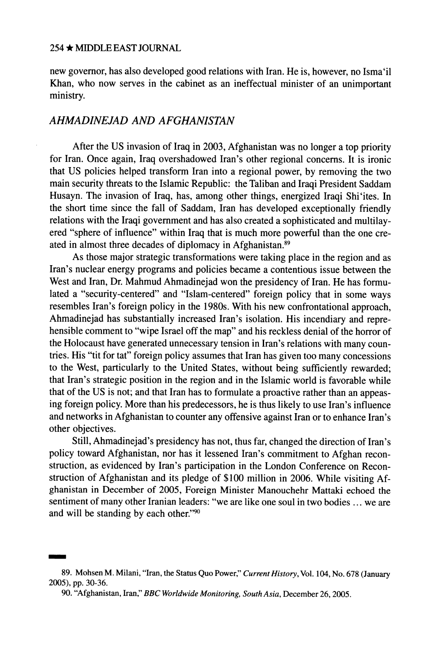**new governor, has also developed good relations with Iran. He is, however, no Isma'il Khan, who now serves in the cabinet as an ineffectual minister of an unimportant ministry.** 

#### **AHMADINEJAD AND AFGHANISTAN**

**After the US invasion of Iraq in 2003, Afghanistan was no longer a top priority for Iran. Once again, Iraq overshadowed Iran's other regional concerns. It is ironic that US policies helped transform Iran into a regional power, by removing the two main security threats to the Islamic Republic: the Taliban and Iraqi President Saddam Husayn. The invasion of Iraq, has, among other things, energized Iraqi Shi'ites. In the short time since the fall of Saddam, Iran has developed exceptionally friendly relations with the Iraqi government and has also created a sophisticated and multilayered "sphere of influence" within Iraq that is much more powerful than the one created in almost three decades of diplomacy in Afghanistan.89** 

**As those major strategic transformations were taking place in the region and as Iran's nuclear energy programs and policies became a contentious issue between the West and Iran, Dr. Mahmud Ahmadinejad won the presidency of Iran. He has formulated a "security-centered" and "Islam-centered" foreign policy that in some ways resembles Iran's foreign policy in the 1980s. With his new confrontational approach, Ahmadinejad has substantially increased Iran's isolation. His incendiary and reprehensible comment to "wipe Israel off the map" and his reckless denial of the horror of the Holocaust have generated unnecessary tension in Iran's relations with many countries. His "tit for tat" foreign policy assumes that Iran has given too many concessions to the West, particularly to the United States, without being sufficiently rewarded; that Iran's strategic position in the region and in the Islamic world is favorable while that of the US is not; and that Iran has to formulate a proactive rather than an appeasing foreign policy. More than his predecessors, he is thus likely to use Iran's influence and networks in Afghanistan to counter any offensive against Iran or to enhance Iran's other objectives.** 

**Still, Ahmadinejad's presidency has not, thus far, changed the direction of Iran's policy toward Afghanistan, nor has it lessened Iran's commitment to Afghan reconstruction, as evidenced by Iran's participation in the London Conference on Reconstruction of Afghanistan and its pledge of \$100 million in 2006. While visiting Afghanistan in December of 2005, Foreign Minister Manouchehr Mattaki echoed the sentiment of many other Iranian leaders: "we are like one soul in two bodies ... we are and will be standing by each other."90** 

**<sup>89.</sup> Mohsen M. Milani, "Iran, the Status Quo Power)" Current History, Vol. 104, No. 678 (January 2005), pp. 30-36.** 

**<sup>90. &</sup>quot;Afghanistan, Iran," BBC Worldwide Monitoring, South Asia, December 26, 2005.**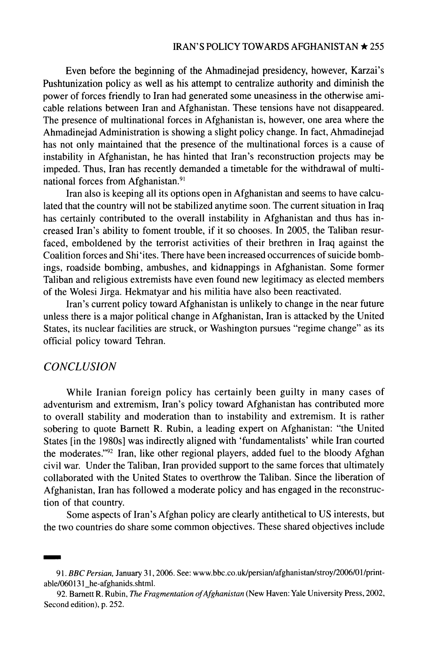**Even before the beginning of the Ahmadinejad presidency, however, Karzai's Pushtunization policy as well as his attempt to centralize authority and diminish the power of forces friendly to Iran had generated some uneasiness in the otherwise amicable relations between Iran and Afghanistan. These tensions have not disappeared. The presence of multinational forces in Afghanistan is, however, one area where the Ahmadinejad Administration is showing a slight policy change. In fact, Ahmadinejad has not only maintained that the presence of the multinational forces is a cause of instability in Afghanistan, he has hinted that Iran's reconstruction projects may be impeded. Thus, Iran has recently demanded a timetable for the withdrawal of multinational forces from Afghanistan.9'** 

**Iran also is keeping all its options open in Afghanistan and seems to have calculated that the country will not be stabilized anytime soon. The current situation in Iraq has certainly contributed to the overall instability in Afghanistan and thus has increased Iran's ability to foment trouble, if it so chooses. In 2005, the Taliban resurfaced, emboldened by the terrorist activities of their brethren in Iraq against the Coalition forces and Shi'ites. There have been increased occurrences of suicide bombings, roadside bombing, ambushes, and kidnappings in Afghanistan. Some former Taliban and religious extremists have even found new legitimacy as elected members of the Wolesi Jirga. Hekmatyar and his militia have also been reactivated.** 

**Iran's current policy toward Afghanistan is unlikely to change in the near future unless there is a major political change in Afghanistan, Iran is attacked by the United States, its nuclear facilities are struck, or Washington pursues "regime change" as its official policy toward Tehran.** 

## **CONCLUSION**

**While Iranian foreign policy has certainly been guilty in many cases of adventurism and extremism, Iran's policy toward Afghanistan has contributed more to overall stability and moderation than to instability and extremism. It is rather sobering to quote Bamett R. Rubin, a leading expert on Afghanistan: "the United States [in the 1980s] was indirectly aligned with 'fundamentalists' while Iran courted the moderates."92 Iran, like other regional players, added fuel to the bloody Afghan civil war. Under the Taliban, Iran provided support to the same forces that ultimately collaborated with the United States to overthrow the Taliban. Since the liberation of Afghanistan, Iran has followed a moderate policy and has engaged in the reconstruction of that country.** 

**Some aspects of Iran's Afghan policy are clearly antithetical to US interests, but the two countries do share some common objectives. These shared objectives include** 

**<sup>91.</sup> BBC Persian, January 31, 2006. See: www.bbc.co.uk/persian/afghanistan/stroy/2006/0 1/printable/0601 3 l\_he-afghanids.shtml.** 

**<sup>92.</sup> Barnett R. Rubin, The Fragmentation of Afghanistan (New Haven: Yale University Press, 2002, Second edition), p. 252.**